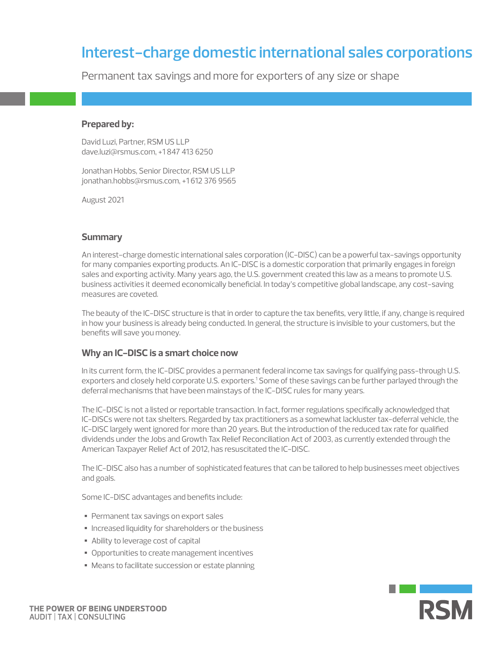# **Interest-charge domestic international sales corporations**

Permanent tax savings and more for exporters of any size or shape

## **Prepared by:**

David Luzi, Partner, RSM US LLP dave.luzi@rsmus.com, +1 847 413 6250

Jonathan Hobbs, Senior Director, RSM US LLP jonathan.hobbs@rsmus.com, +1 612 376 9565

August 2021

# **Summary**

An interest-charge domestic international sales corporation (IC-DISC) can be a powerful tax-savings opportunity for many companies exporting products. An IC-DISC is a domestic corporation that primarily engages in foreign sales and exporting activity. Many years ago, the U.S. government created this law as a means to promote U.S. business activities it deemed economically beneficial. In today's competitive global landscape, any cost-saving measures are coveted.

The beauty of the IC-DISC structure is that in order to capture the tax benefits, very little, if any, change is required in how your business is already being conducted. In general, the structure is invisible to your customers, but the benefits will save you money.

# **Why an IC-DISC is a smart choice now**

In its current form, the IC-DISC provides a permanent federal income tax savings for qualifying pass-through U.S. exporters and closely held corporate U.S. exporters.<sup>1</sup> Some of these savings can be further parlayed through the deferral mechanisms that have been mainstays of the IC-DISC rules for many years.

The IC-DISC is not a listed or reportable transaction. In fact, former regulations specifically acknowledged that IC-DISCs were not tax shelters. Regarded by tax practitioners as a somewhat lackluster tax-deferral vehicle, the IC-DISC largely went ignored for more than 20 years. But the introduction of the reduced tax rate for qualified dividends under the Jobs and Growth Tax Relief Reconciliation Act of 2003, as currently extended through the American Taxpayer Relief Act of 2012, has resuscitated the IC-DISC.

The IC-DISC also has a number of sophisticated features that can be tailored to help businesses meet objectives and goals.

Some IC-DISC advantages and benefits include:

- Permanent tax savings on export sales
- Increased liquidity for shareholders or the business
- Ability to leverage cost of capital
- Opportunities to create management incentives
- Means to facilitate succession or estate planning

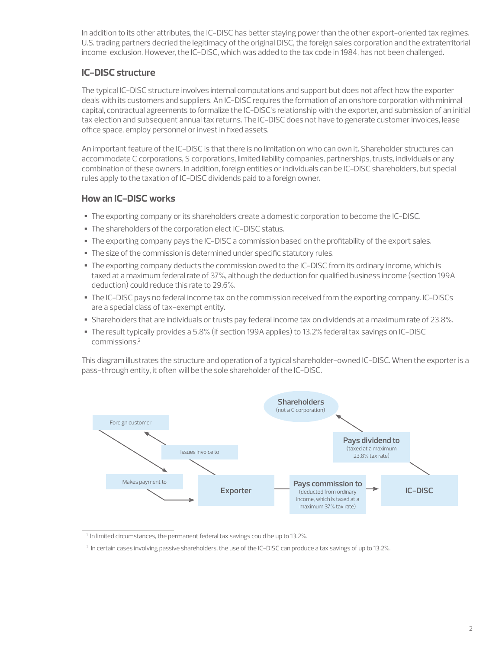In addition to its other attributes, the IC-DISC has better staying power than the other export-oriented tax regimes. U.S. trading partners decried the legitimacy of the original DISC, the foreign sales corporation and the extraterritorial income exclusion. However, the IC-DISC, which was added to the tax code in 1984, has not been challenged.

# **IC-DISC structure**

The typical IC-DISC structure involves internal computations and support but does not affect how the exporter deals with its customers and suppliers. An IC-DISC requires the formation of an onshore corporation with minimal capital, contractual agreements to formalize the IC-DISC's relationship with the exporter, and submission of an initial tax election and subsequent annual tax returns. The IC-DISC does not have to generate customer invoices, lease office space, employ personnel or invest in fixed assets.

An important feature of the IC-DISC is that there is no limitation on who can own it. Shareholder structures can accommodate C corporations, S corporations, limited liability companies, partnerships, trusts, individuals or any combination of these owners. In addition, foreign entities or individuals can be IC-DISC shareholders, but special rules apply to the taxation of IC-DISC dividends paid to a foreign owner.

# **How an IC-DISC works**

- The exporting company or its shareholders create a domestic corporation to become the IC-DISC.
- The shareholders of the corporation elect IC-DISC status.
- The exporting company pays the IC-DISC a commission based on the profitability of the export sales.
- The size of the commission is determined under specific statutory rules.
- The exporting company deducts the commission owed to the IC-DISC from its ordinary income, which is taxed at a maximum federal rate of 37%, although the deduction for qualified business income (section 199A deduction) could reduce this rate to 29.6%.
- The IC-DISC pays no federal income tax on the commission received from the exporting company. IC-DISCs are a special class of tax-exempt entity.
- Shareholders that are individuals or trusts pay federal income tax on dividends at a maximum rate of 23.8%.
- The result typically provides a 5.8% (if section 199A applies) to 13.2% federal tax savings on IC-DISC commissions.2

This diagram illustrates the structure and operation of a typical shareholder-owned IC-DISC. When the exporter is a pass-through entity, it often will be the sole shareholder of the IC-DISC.



<sup>&</sup>lt;sup>1</sup> In limited circumstances, the permanent federal tax savings could be up to 13.2%.

<sup>&</sup>lt;sup>2</sup> In certain cases involving passive shareholders, the use of the IC-DISC can produce a tax savings of up to 13.2%.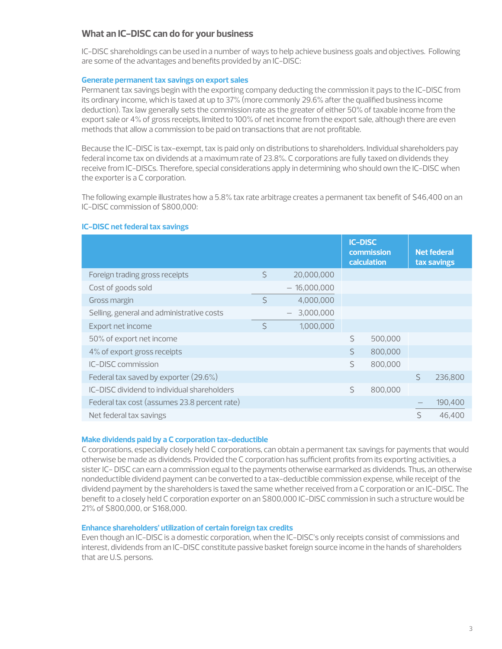# **What an IC-DISC can do for your business**

IC-DISC shareholdings can be used in a number of ways to help achieve business goals and objectives. Following are some of the advantages and benefits provided by an IC-DISC:

### **Generate permanent tax savings on export sales**

Permanent tax savings begin with the exporting company deducting the commission it pays to the IC-DISC from its ordinary income, which is taxed at up to 37% (more commonly 29.6% after the qualified business income deduction). Tax law generally sets the commission rate as the greater of either 50% of taxable income from the export sale or 4% of gross receipts, limited to 100% of net income from the export sale, although there are even methods that allow a commission to be paid on transactions that are not profitable.

Because the IC-DISC is tax-exempt, tax is paid only on distributions to shareholders. Individual shareholders pay federal income tax on dividends at a maximum rate of 23.8%. C corporations are fully taxed on dividends they receive from IC-DISCs. Therefore, special considerations apply in determining who should own the IC-DISC when the exporter is a C corporation.

The following example illustrates how a 5.8% tax rate arbitrage creates a permanent tax benefit of \$46,400 on an IC-DISC commission of \$800,000:

## **IC-DISC net federal tax savings**

|                                              |    |                  |         | <b>IC-DISC</b><br>commission<br>calculation |   | <b>Net federal</b><br>tax savings |
|----------------------------------------------|----|------------------|---------|---------------------------------------------|---|-----------------------------------|
| Foreign trading gross receipts               | Ŝ. | 20,000,000       |         |                                             |   |                                   |
| Cost of goods sold                           |    | $-16,000,000$    |         |                                             |   |                                   |
| Gross margin                                 | Ś. | 4,000,000        |         |                                             |   |                                   |
| Selling, general and administrative costs    |    | 3,000,000<br>$-$ |         |                                             |   |                                   |
| Export net income                            | Ś  | 1,000,000        |         |                                             |   |                                   |
| 50% of export net income                     |    |                  | $\zeta$ | 500,000                                     |   |                                   |
| 4% of export gross receipts                  |    |                  | Ś       | 800,000                                     |   |                                   |
| IC-DISC commission                           |    |                  | $\zeta$ | 800,000                                     |   |                                   |
| Federal tax saved by exporter (29.6%)        |    |                  |         |                                             | Ś | 236,800                           |
| IC-DISC dividend to individual shareholders  |    |                  | $\zeta$ | 800,000                                     |   |                                   |
| Federal tax cost (assumes 23.8 percent rate) |    |                  |         |                                             |   | 190,400                           |
| Net federal tax savings                      |    |                  |         |                                             | Ś | 46,400                            |

#### **Make dividends paid by a C corporation tax-deductible**

C corporations, especially closely held C corporations, can obtain a permanent tax savings for payments that would otherwise be made as dividends. Provided the C corporation has sufficient profits from its exporting activities, a sister IC- DISC can earn a commission equal to the payments otherwise earmarked as dividends. Thus, an otherwise nondeductible dividend payment can be converted to a tax-deductible commission expense, while receipt of the dividend payment by the shareholders is taxed the same whether received from a C corporation or an IC-DISC. The benefit to a closely held C corporation exporter on an \$800,000 IC-DISC commission in such a structure would be 21% of \$800,000, or \$168,000.

#### **Enhance shareholders' utilization of certain foreign tax credits**

Even though an IC-DISC is a domestic corporation, when the IC-DISC's only receipts consist of commissions and interest, dividends from an IC-DISC constitute passive basket foreign source income in the hands of shareholders that are U.S. persons.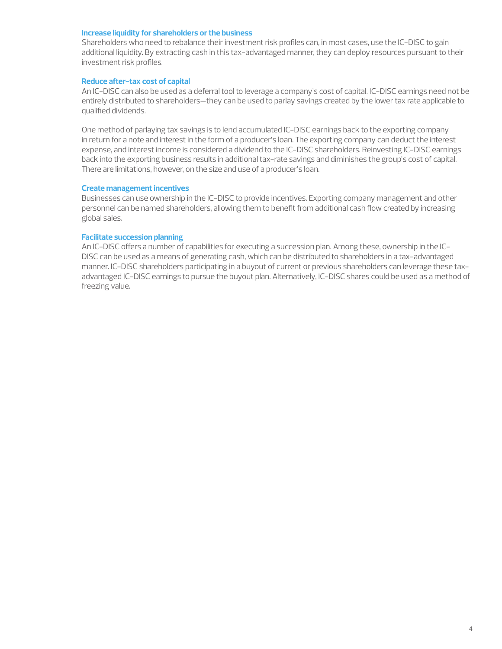#### **Increase liquidity for shareholders or the business**

Shareholders who need to rebalance their investment risk profiles can, in most cases, use the IC-DISC to gain additional liquidity. By extracting cash in this tax-advantaged manner, they can deploy resources pursuant to their investment risk profiles.

## **Reduce after-tax cost of capital**

An IC-DISC can also be used as a deferral tool to leverage a company's cost of capital. IC-DISC earnings need not be entirely distributed to shareholders—they can be used to parlay savings created by the lower tax rate applicable to qualified dividends.

One method of parlaying tax savings is to lend accumulated IC-DISC earnings back to the exporting company in return for a note and interest in the form of a producer's loan. The exporting company can deduct the interest expense, and interest income is considered a dividend to the IC-DISC shareholders. Reinvesting IC-DISC earnings back into the exporting business results in additional tax-rate savings and diminishes the group's cost of capital. There are limitations, however, on the size and use of a producer's loan.

#### **Create management incentives**

Businesses can use ownership in the IC-DISC to provide incentives. Exporting company management and other personnel can be named shareholders, allowing them to benefit from additional cash flow created by increasing global sales.

#### **Facilitate succession planning**

An IC-DISC offers a number of capabilities for executing a succession plan. Among these, ownership in the IC-DISC can be used as a means of generating cash, which can be distributed to shareholders in a tax-advantaged manner. IC-DISC shareholders participating in a buyout of current or previous shareholders can leverage these taxadvantaged IC-DISC earnings to pursue the buyout plan. Alternatively, IC-DISC shares could be used as a method of freezing value.